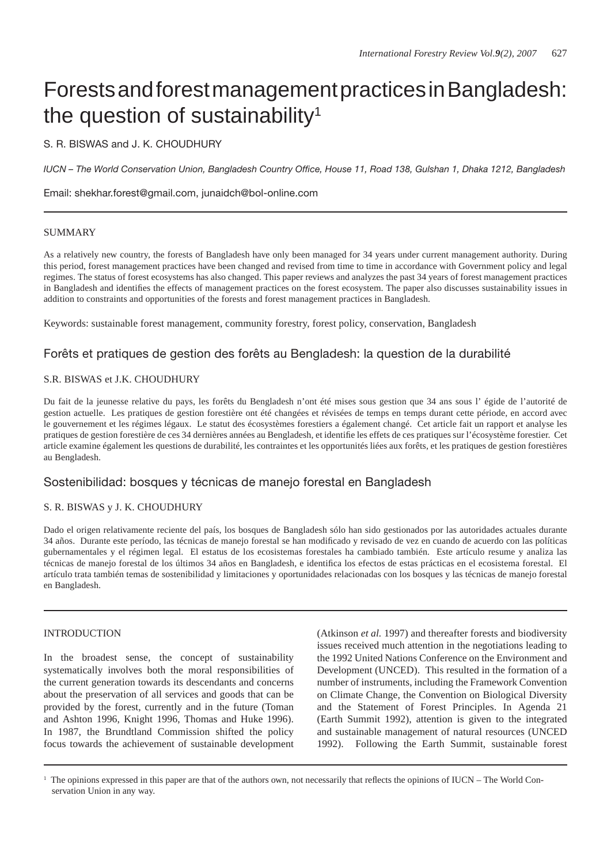# Forests and forest management practices in Bangladesh: the question of sustainability<sup>1</sup>

# S. R. BISWAS and J. K. CHOUDHURY

IUCN - The World Conservation Union, Bangladesh Country Office, House 11, Road 138, Gulshan 1, Dhaka 1212, Bangladesh

Email: shekhar.forest@gmail.com, junaidch@bol-online.com

# **SUMMARY**

As a relatively new country, the forests of Bangladesh have only been managed for 34 years under current management authority. During this period, forest management practices have been changed and revised from time to time in accordance with Government policy and legal regimes. The status of forest ecosystems has also changed. This paper reviews and analyzes the past 34 years of forest management practices in Bangladesh and identifies the effects of management practices on the forest ecosystem. The paper also discusses sustainability issues in addition to constraints and opportunities of the forests and forest management practices in Bangladesh.

Keywords: sustainable forest management, community forestry, forest policy, conservation, Bangladesh

# Forêts et pratiques de gestion des forêts au Bengladesh: la question de la durabilité

# S.R. BISWAS et J.K. CHOUDHURY

Du fait de la jeunesse relative du pays, les forêts du Bengladesh n'ont été mises sous gestion que 34 ans sous l' égide de l'autorité de gestion actuelle. Les pratiques de gestion forestière ont été changées et révisées de temps en temps durant cette période, en accord avec le gouvernement et les régimes légaux. Le statut des écosystèmes forestiers a également changé. Cet article fait un rapport et analyse les pratiques de gestion forestière de ces 34 dernières années au Bengladesh, et identifie les effets de ces pratiques sur l'écosystème forestier. Cet article examine également les questions de durabilité, les contraintes et les opportunités liées aux forêts, et les pratiques de gestion forestières au Bengladesh.

# Sostenibilidad: bosques y técnicas de manejo forestal en Bangladesh

# S. R. BISWAS y J. K. CHOUDHURY

Dado el origen relativamente reciente del país, los bosques de Bangladesh sólo han sido gestionados por las autoridades actuales durante 34 años. Durante este período, las técnicas de manejo forestal se han modificado y revisado de vez en cuando de acuerdo con las políticas gubernamentales y el régimen legal. El estatus de los ecosistemas forestales ha cambiado también. Este artículo resume y analiza las técnicas de manejo forestal de los últimos 34 años en Bangladesh, e identifica los efectos de estas prácticas en el ecosistema forestal. El artículo trata también temas de sostenibilidad y limitaciones y oportunidades relacionadas con los bosques y las técnicas de manejo forestal en Bangladesh.

# INTRODUCTION

In the broadest sense, the concept of sustainability systematically involves both the moral responsibilities of the current generation towards its descendants and concerns about the preservation of all services and goods that can be provided by the forest, currently and in the future (Toman and Ashton 1996, Knight 1996, Thomas and Huke 1996). In 1987, the Brundtland Commission shifted the policy focus towards the achievement of sustainable development

(Atkinson *et al.* 1997) and thereafter forests and biodiversity issues received much attention in the negotiations leading to the 1992 United Nations Conference on the Environment and Development (UNCED). This resulted in the formation of a number of instruments, including the Framework Convention on Climate Change, the Convention on Biological Diversity and the Statement of Forest Principles. In Agenda 21 (Earth Summit 1992), attention is given to the integrated and sustainable management of natural resources (UNCED 1992). Following the Earth Summit, sustainable forest

 $<sup>1</sup>$  The opinions expressed in this paper are that of the authors own, not necessarily that reflects the opinions of IUCN – The World Con-</sup> servation Union in any way.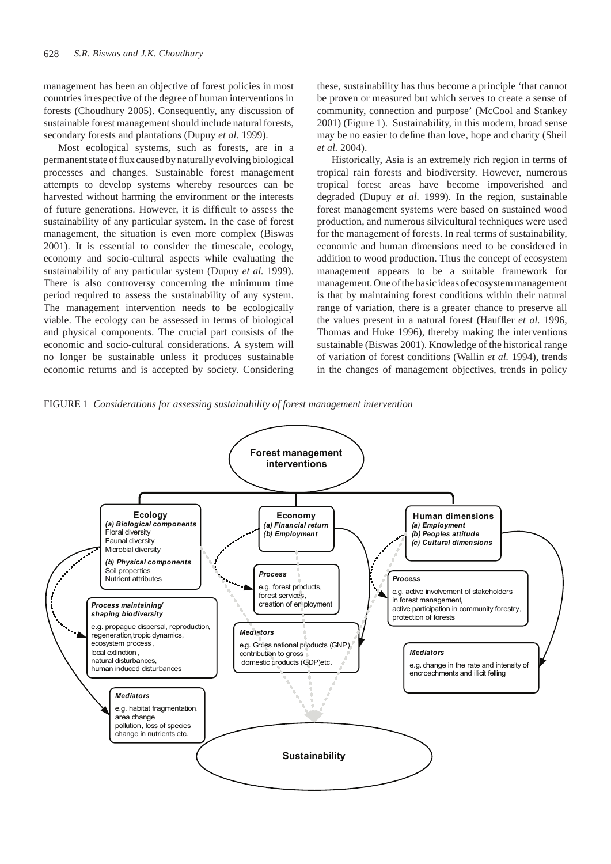management has been an objective of forest policies in most countries irrespective of the degree of human interventions in forests (Choudhury 2005). Consequently, any discussion of sustainable forest management should include natural forests, secondary forests and plantations (Dupuy *et al.* 1999).

Most ecological systems, such as forests, are in a permanent state of flux caused by naturally evolving biological processes and changes. Sustainable forest management attempts to develop systems whereby resources can be harvested without harming the environment or the interests of future generations. However, it is difficult to assess the sustainability of any particular system. In the case of forest management, the situation is even more complex (Biswas 2001). It is essential to consider the timescale, ecology, economy and socio-cultural aspects while evaluating the sustainability of any particular system (Dupuy *et al.* 1999). There is also controversy concerning the minimum time period required to assess the sustainability of any system. The management intervention needs to be ecologically viable. The ecology can be assessed in terms of biological and physical components. The crucial part consists of the economic and socio-cultural considerations. A system will no longer be sustainable unless it produces sustainable economic returns and is accepted by society. Considering

these, sustainability has thus become a principle 'that cannot be proven or measured but which serves to create a sense of community, connection and purpose' (McCool and Stankey 2001) (Figure 1). Sustainability, in this modern, broad sense may be no easier to define than love, hope and charity (Sheil *et al.* 2004).

Historically, Asia is an extremely rich region in terms of tropical rain forests and biodiversity. However, numerous tropical forest areas have become impoverished and degraded (Dupuy *et al.* 1999). In the region, sustainable forest management systems were based on sustained wood production, and numerous silvicultural techniques were used for the management of forests. In real terms of sustainability, economic and human dimensions need to be considered in addition to wood production. Thus the concept of ecosystem management appears to be a suitable framework for management. One of the basic ideas of ecosystem management is that by maintaining forest conditions within their natural range of variation, there is a greater chance to preserve all the values present in a natural forest (Hauffler *et al.* 1996, Thomas and Huke 1996), thereby making the interventions sustainable (Biswas 2001). Knowledge of the historical range of variation of forest conditions (Wallin *et al.* 1994), trends in the changes of management objectives, trends in policy



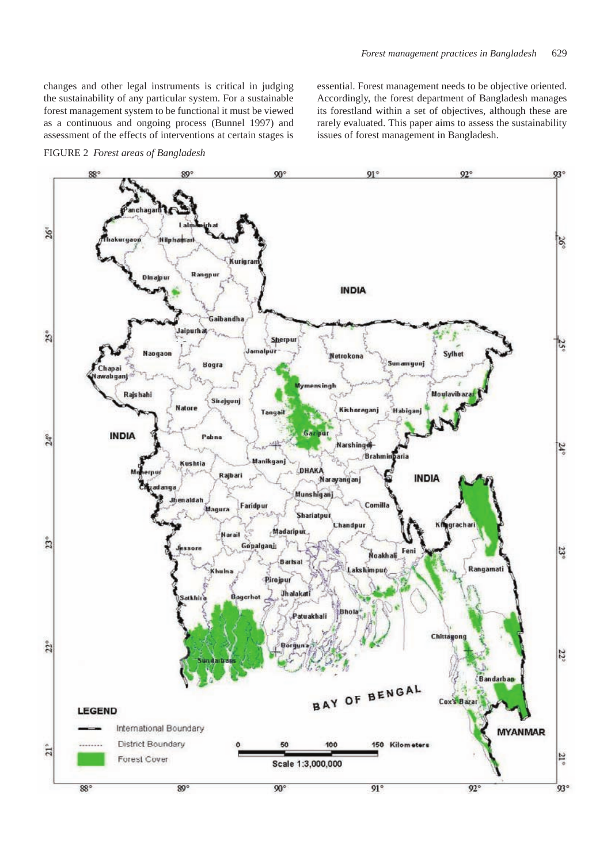changes and other legal instruments is critical in judging the sustainability of any particular system. For a sustainable forest management system to be functional it must be viewed as a continuous and ongoing process (Bunnel 1997) and assessment of the effects of interventions at certain stages is

FIGURE 2 *Forest areas of Bangladesh*

essential. Forest management needs to be objective oriented. Accordingly, the forest department of Bangladesh manages its forestland within a set of objectives, although these are rarely evaluated. This paper aims to assess the sustainability issues of forest management in Bangladesh.

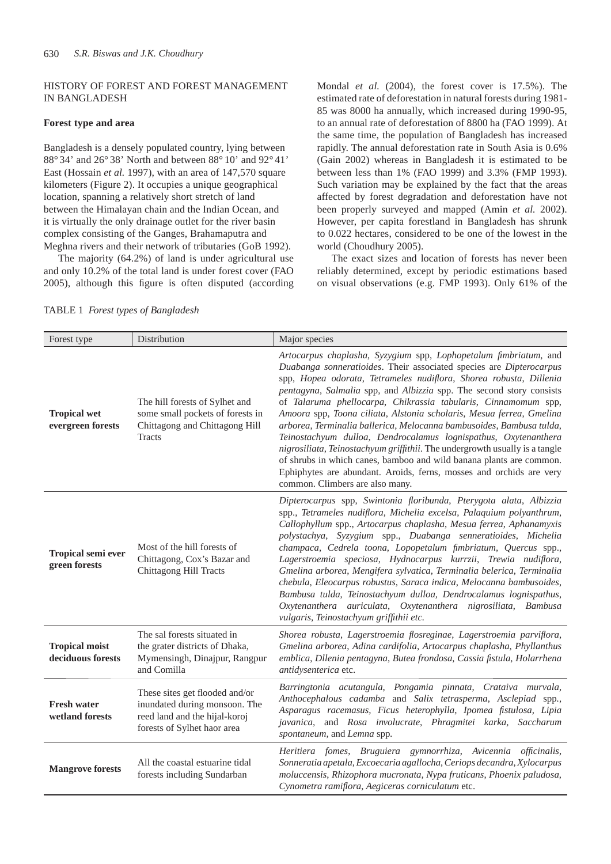# HISTORY OF FOREST AND FOREST MANAGEMENT IN BANGLADESH

#### **Forest type and area**

Bangladesh is a densely populated country, lying between 88° 34' and 26° 38' North and between 88° 10' and 92° 41' East (Hossain *et al.* 1997), with an area of 147,570 square kilometers (Figure 2). It occupies a unique geographical location, spanning a relatively short stretch of land between the Himalayan chain and the Indian Ocean, and it is virtually the only drainage outlet for the river basin complex consisting of the Ganges, Brahamaputra and Meghna rivers and their network of tributaries (GoB 1992).

The majority (64.2%) of land is under agricultural use and only 10.2% of the total land is under forest cover (FAO 2005), although this figure is often disputed (according

Mondal *et al.* (2004), the forest cover is 17.5%). The estimated rate of deforestation in natural forests during 1981- 85 was 8000 ha annually, which increased during 1990-95, to an annual rate of deforestation of 8800 ha (FAO 1999). At the same time, the population of Bangladesh has increased rapidly. The annual deforestation rate in South Asia is 0.6% (Gain 2002) whereas in Bangladesh it is estimated to be between less than 1% (FAO 1999) and 3.3% (FMP 1993). Such variation may be explained by the fact that the areas affected by forest degradation and deforestation have not been properly surveyed and mapped (Amin *et al.* 2002). However, per capita forestland in Bangladesh has shrunk to 0.022 hectares, considered to be one of the lowest in the world (Choudhury 2005).

The exact sizes and location of forests has never been reliably determined, except by periodic estimations based on visual observations (e.g. FMP 1993). Only 61% of the

# TABLE 1 *Forest types of Bangladesh*

| Forest type                                | Distribution                                                                                                                    | Major species                                                                                                                                                                                                                                                                                                                                                                                                                                                                                                                                                                                                                                                                                                                                                                                                                              |
|--------------------------------------------|---------------------------------------------------------------------------------------------------------------------------------|--------------------------------------------------------------------------------------------------------------------------------------------------------------------------------------------------------------------------------------------------------------------------------------------------------------------------------------------------------------------------------------------------------------------------------------------------------------------------------------------------------------------------------------------------------------------------------------------------------------------------------------------------------------------------------------------------------------------------------------------------------------------------------------------------------------------------------------------|
| <b>Tropical wet</b><br>evergreen forests   | The hill forests of Sylhet and<br>some small pockets of forests in<br>Chittagong and Chittagong Hill<br>Tracts                  | Artocarpus chaplasha, Syzygium spp, Lophopetalum fimbriatum, and<br>Duabanga sonneratioides. Their associated species are Dipterocarpus<br>spp, Hopea odorata, Tetrameles nudiflora, Shorea robusta, Dillenia<br>pentagyna, Salmalia spp, and Albizzia spp. The second story consists<br>of Talaruma phellocarpa, Chikrassia tabularis, Cinnamomum spp,<br>Amoora spp, Toona ciliata, Alstonia scholaris, Mesua ferrea, Gmelina<br>arborea, Terminalia ballerica, Melocanna bambusoides, Bambusa tulda,<br>Teinostachyum dulloa, Dendrocalamus lognispathus, Oxytenanthera<br>nigrosiliata, Teinostachyum griffithii. The undergrowth usually is a tangle<br>of shrubs in which canes, bamboo and wild banana plants are common.<br>Ephiphytes are abundant. Aroids, ferns, mosses and orchids are very<br>common. Climbers are also many. |
| <b>Tropical semi ever</b><br>green forests | Most of the hill forests of<br>Chittagong, Cox's Bazar and<br><b>Chittagong Hill Tracts</b>                                     | Dipterocarpus spp, Swintonia floribunda, Pterygota alata, Albizzia<br>spp., Tetrameles nudiflora, Michelia excelsa, Palaquium polyanthrum,<br>Callophyllum spp., Artocarpus chaplasha, Mesua ferrea, Aphanamyxis<br>polystachya, Syzygium spp., Duabanga senneratioides, Michelia<br>champaca, Cedrela toona, Lopopetalum fimbriatum, Quercus spp.,<br>Lagerstroemia speciosa, Hydnocarpus kurrzii, Trewia nudiflora,<br>Gmelina arborea, Mengifera sylvatica, Terminalia belerica, Terminalia<br>chebula, Eleocarpus robustus, Saraca indica, Melocanna bambusoides,<br>Bambusa tulda, Teinostachyum dulloa, Dendrocalamus lognispathus,<br>Oxytenanthera auriculata, Oxytenanthera nigrosiliata, Bambusa<br>vulgaris, Teinostachyum griffithii etc.                                                                                      |
| <b>Tropical moist</b><br>deciduous forests | The sal forests situated in<br>the grater districts of Dhaka,<br>Mymensingh, Dinajpur, Rangpur<br>and Comilla                   | Shorea robusta, Lagerstroemia flosreginae, Lagerstroemia parviflora,<br>Gmelina arborea, Adina cardifolia, Artocarpus chaplasha, Phyllanthus<br>emblica, Dllenia pentagyna, Butea frondosa, Cassia fistula, Holarrhena<br>antidysenterica etc.                                                                                                                                                                                                                                                                                                                                                                                                                                                                                                                                                                                             |
| <b>Fresh water</b><br>wetland forests      | These sites get flooded and/or<br>inundated during monsoon. The<br>reed land and the hijal-koroj<br>forests of Sylhet haor area | Barringtonia acutangula, Pongamia pinnata, Crataiva murvala,<br>Anthocephalous cadamba and Salix tetrasperma, Asclepiad spp.,<br>Asparagus racemasus, Ficus heterophylla, Ipomea fistulosa, Lipia<br>javanica, and Rosa involucrate, Phragmitei karka, Saccharum<br>spontaneum, and Lemna spp.                                                                                                                                                                                                                                                                                                                                                                                                                                                                                                                                             |
| <b>Mangrove forests</b>                    | All the coastal estuarine tidal<br>forests including Sundarban                                                                  | Heritiera fomes, Bruguiera gymnorrhiza, Avicennia officinalis,<br>Sonneratia apetala, Excoecaria agallocha, Ceriops decandra, Xylocarpus<br>moluccensis, Rhizophora mucronata, Nypa fruticans, Phoenix paludosa,<br>Cynometra ramiflora, Aegiceras corniculatum etc.                                                                                                                                                                                                                                                                                                                                                                                                                                                                                                                                                                       |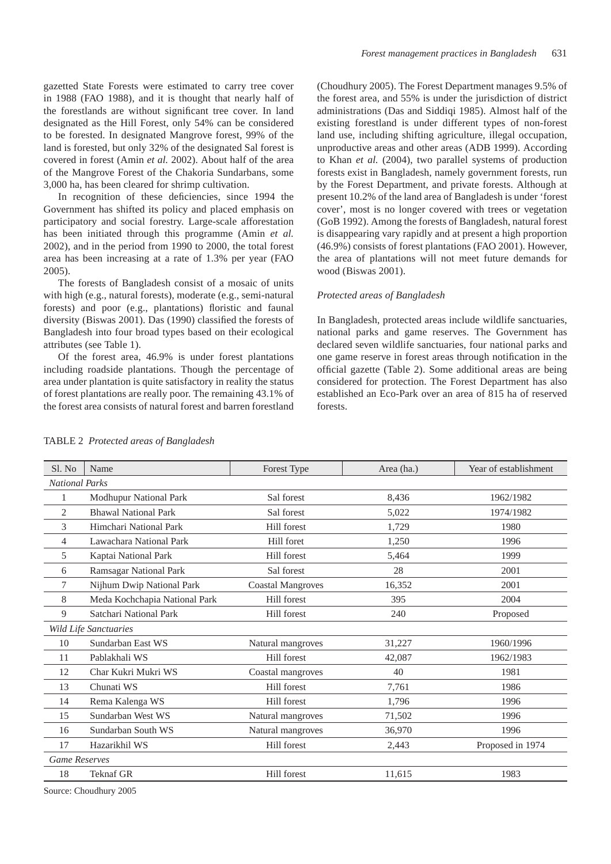gazetted State Forests were estimated to carry tree cover in 1988 (FAO 1988), and it is thought that nearly half of the forestlands are without significant tree cover. In land designated as the Hill Forest, only 54% can be considered to be forested. In designated Mangrove forest, 99% of the land is forested, but only 32% of the designated Sal forest is covered in forest (Amin *et al.* 2002). About half of the area of the Mangrove Forest of the Chakoria Sundarbans, some 3,000 ha, has been cleared for shrimp cultivation.

In recognition of these deficiencies, since 1994 the Government has shifted its policy and placed emphasis on participatory and social forestry. Large-scale afforestation has been initiated through this programme (Amin *et al.* 2002), and in the period from 1990 to 2000, the total forest area has been increasing at a rate of 1.3% per year (FAO 2005).

The forests of Bangladesh consist of a mosaic of units with high (e.g., natural forests), moderate (e.g., semi-natural forests) and poor (e.g., plantations) floristic and faunal diversity (Biswas 2001). Das (1990) classified the forests of Bangladesh into four broad types based on their ecological attributes (see Table 1).

Of the forest area, 46.9% is under forest plantations including roadside plantations. Though the percentage of area under plantation is quite satisfactory in reality the status of forest plantations are really poor. The remaining 43.1% of the forest area consists of natural forest and barren forestland

(Choudhury 2005). The Forest Department manages 9.5% of the forest area, and 55% is under the jurisdiction of district administrations (Das and Siddiqi 1985). Almost half of the existing forestland is under different types of non-forest land use, including shifting agriculture, illegal occupation, unproductive areas and other areas (ADB 1999). According to Khan *et al.* (2004), two parallel systems of production forests exist in Bangladesh, namely government forests, run by the Forest Department, and private forests. Although at present 10.2% of the land area of Bangladesh is under 'forest cover', most is no longer covered with trees or vegetation (GoB 1992). Among the forests of Bangladesh, natural forest is disappearing vary rapidly and at present a high proportion (46.9%) consists of forest plantations (FAO 2001). However, the area of plantations will not meet future demands for wood (Biswas 2001).

#### *Protected areas of Bangladesh*

In Bangladesh, protected areas include wildlife sanctuaries, national parks and game reserves. The Government has declared seven wildlife sanctuaries, four national parks and one game reserve in forest areas through notification in the official gazette (Table 2). Some additional areas are being considered for protection. The Forest Department has also established an Eco-Park over an area of 815 ha of reserved forests.

| Sl. No               | Name                          | Forest Type              | Area (ha.) | Year of establishment |  |  |  |
|----------------------|-------------------------------|--------------------------|------------|-----------------------|--|--|--|
|                      | <b>National Parks</b>         |                          |            |                       |  |  |  |
| 1                    | Modhupur National Park        | Sal forest               | 8,436      | 1962/1982             |  |  |  |
| 2                    | <b>Bhawal National Park</b>   | Sal forest               | 5,022      | 1974/1982             |  |  |  |
| 3                    | Himchari National Park        | <b>Hill forest</b>       | 1,729      | 1980                  |  |  |  |
| 4                    | Lawachara National Park       | Hill foret               | 1,250      | 1996                  |  |  |  |
| 5                    | Kaptai National Park          | <b>Hill forest</b>       | 5,464      | 1999                  |  |  |  |
| 6                    | Ramsagar National Park        | Sal forest               | 28         | 2001                  |  |  |  |
| 7                    | Nijhum Dwip National Park     | <b>Coastal Mangroves</b> | 16,352     | 2001                  |  |  |  |
| 8                    | Meda Kochchapia National Park | Hill forest              | 395        | 2004                  |  |  |  |
| 9                    | Satchari National Park        | <b>Hill forest</b>       | 240        | Proposed              |  |  |  |
|                      | Wild Life Sanctuaries         |                          |            |                       |  |  |  |
| 10                   | Sundarban East WS             | Natural mangroves        | 31,227     | 1960/1996             |  |  |  |
| 11                   | Pablakhali WS                 | Hill forest              | 42,087     | 1962/1983             |  |  |  |
| 12                   | Char Kukri Mukri WS           | Coastal mangroves        | 40         | 1981                  |  |  |  |
| 13                   | Chunati WS                    | <b>Hill forest</b>       | 7,761      | 1986                  |  |  |  |
| 14                   | Rema Kalenga WS               | Hill forest              | 1,796      | 1996                  |  |  |  |
| 15                   | Sundarban West WS             | Natural mangroves        | 71,502     | 1996                  |  |  |  |
| 16                   | Sundarban South WS            | Natural mangroves        | 36,970     | 1996                  |  |  |  |
| 17                   | Hazarikhil WS                 | Hill forest              | 2,443      | Proposed in 1974      |  |  |  |
| <b>Game Reserves</b> |                               |                          |            |                       |  |  |  |
| 18                   | <b>Teknaf GR</b>              | Hill forest              | 11,615     | 1983                  |  |  |  |

#### TABLE 2 *Protected areas of Bangladesh*

Source: Choudhury 2005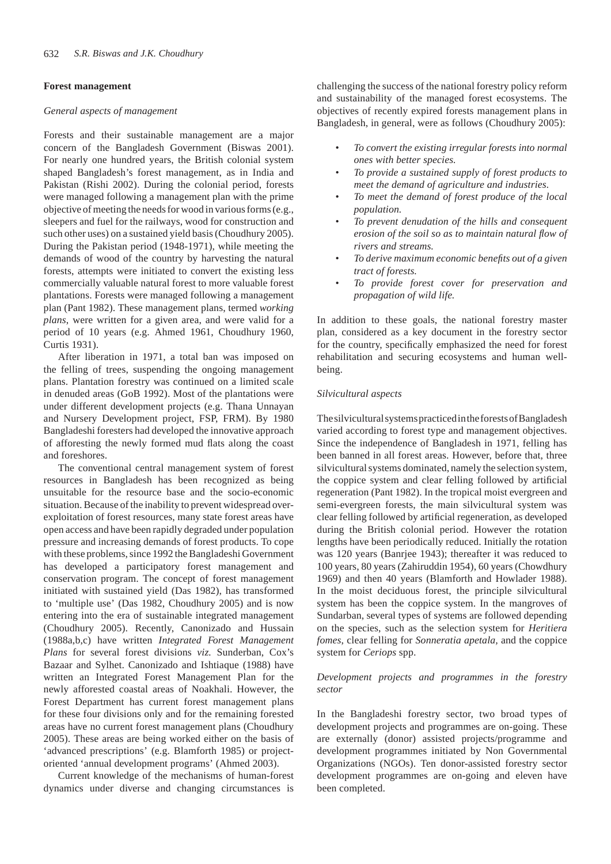## **Forest management**

## *General aspects of management*

Forests and their sustainable management are a major concern of the Bangladesh Government (Biswas 2001). For nearly one hundred years, the British colonial system shaped Bangladesh's forest management, as in India and Pakistan (Rishi 2002). During the colonial period, forests were managed following a management plan with the prime objective of meeting the needs for wood in various forms (e.g., sleepers and fuel for the railways, wood for construction and such other uses) on a sustained yield basis (Choudhury 2005). During the Pakistan period (1948-1971), while meeting the demands of wood of the country by harvesting the natural forests, attempts were initiated to convert the existing less commercially valuable natural forest to more valuable forest plantations. Forests were managed following a management plan (Pant 1982). These management plans, termed *working plans*, were written for a given area, and were valid for a period of 10 years (e.g. Ahmed 1961, Choudhury 1960, Curtis 1931).

After liberation in 1971, a total ban was imposed on the felling of trees, suspending the ongoing management plans. Plantation forestry was continued on a limited scale in denuded areas (GoB 1992). Most of the plantations were under different development projects (e.g. Thana Unnayan and Nursery Development project, FSP, FRM). By 1980 Bangladeshi foresters had developed the innovative approach of afforesting the newly formed mud flats along the coast and foreshores.

The conventional central management system of forest resources in Bangladesh has been recognized as being unsuitable for the resource base and the socio-economic situation. Because of the inability to prevent widespread overexploitation of forest resources, many state forest areas have open access and have been rapidly degraded under population pressure and increasing demands of forest products. To cope with these problems, since 1992 the Bangladeshi Government has developed a participatory forest management and conservation program. The concept of forest management initiated with sustained yield (Das 1982), has transformed to 'multiple use' (Das 1982, Choudhury 2005) and is now entering into the era of sustainable integrated management (Choudhury 2005). Recently, Canonizado and Hussain (1988a,b,c) have written *Integrated Forest Management Plans* for several forest divisions *viz.* Sunderban, Cox's Bazaar and Sylhet. Canonizado and Ishtiaque (1988) have written an Integrated Forest Management Plan for the newly afforested coastal areas of Noakhali. However, the Forest Department has current forest management plans for these four divisions only and for the remaining forested areas have no current forest management plans (Choudhury 2005). These areas are being worked either on the basis of 'advanced prescriptions' (e.g. Blamforth 1985) or projectoriented 'annual development programs' (Ahmed 2003).

Current knowledge of the mechanisms of human-forest dynamics under diverse and changing circumstances is challenging the success of the national forestry policy reform and sustainability of the managed forest ecosystems. The objectives of recently expired forests management plans in Bangladesh, in general, were as follows (Choudhury 2005):

- *To convert the existing irregular forests into normal ones with better species.*
- *To provide a sustained supply of forest products to meet the demand of agriculture and industries.*
- *To meet the demand of forest produce of the local population.*
- *To prevent denudation of the hills and consequent erosion of the soil so as to maintain natural flow of rivers and streams.*
- To derive maximum economic benefits out of a given *tract of forests.*
- *To provide forest cover for preservation and propagation of wild life.*

In addition to these goals, the national forestry master plan, considered as a key document in the forestry sector for the country, specifically emphasized the need for forest rehabilitation and securing ecosystems and human wellbeing.

#### *Silvicultural aspects*

The silvicultural systems practiced in the forests of Bangladesh varied according to forest type and management objectives. Since the independence of Bangladesh in 1971, felling has been banned in all forest areas. However, before that, three silvicultural systems dominated, namely the selection system, the coppice system and clear felling followed by artificial regeneration (Pant 1982). In the tropical moist evergreen and semi-evergreen forests, the main silvicultural system was clear felling followed by artificial regeneration, as developed during the British colonial period. However the rotation lengths have been periodically reduced. Initially the rotation was 120 years (Banrjee 1943); thereafter it was reduced to 100 years, 80 years (Zahiruddin 1954), 60 years (Chowdhury 1969) and then 40 years (Blamforth and Howlader 1988). In the moist deciduous forest, the principle silvicultural system has been the coppice system. In the mangroves of Sundarban, several types of systems are followed depending on the species, such as the selection system for *Heritiera fomes*, clear felling for *Sonneratia apetala,* and the coppice system for *Ceriops* spp.

# *Development projects and programmes in the forestry sector*

In the Bangladeshi forestry sector, two broad types of development projects and programmes are on-going. These are externally (donor) assisted projects/programme and development programmes initiated by Non Governmental Organizations (NGOs). Ten donor-assisted forestry sector development programmes are on-going and eleven have been completed.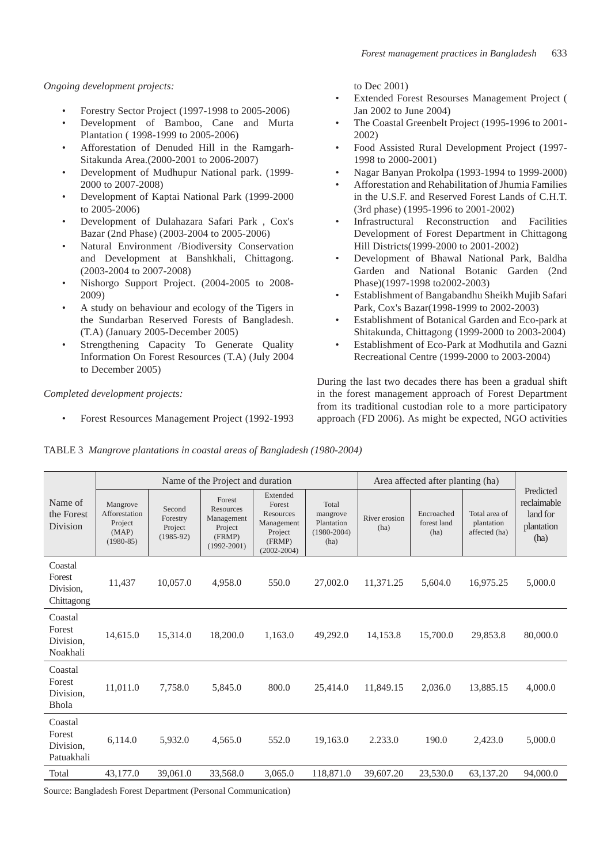*Ongoing development projects:*

- Forestry Sector Project (1997-1998 to 2005-2006)
- Development of Bamboo, Cane and Murta Plantation ( 1998-1999 to 2005-2006)
- Afforestation of Denuded Hill in the Ramgarh-Sitakunda Area.(2000-2001 to 2006-2007)
- Development of Mudhupur National park. (1999- 2000 to 2007-2008)
- Development of Kaptai National Park (1999-2000 to 2005-2006)
- Development of Dulahazara Safari Park , Cox's Bazar (2nd Phase) (2003-2004 to 2005-2006)
- Natural Environment /Biodiversity Conservation and Development at Banshkhali, Chittagong. (2003-2004 to 2007-2008)
- Nishorgo Support Project. (2004-2005 to 2008- 2009)
- A study on behaviour and ecology of the Tigers in the Sundarban Reserved Forests of Bangladesh. (T.A) (January 2005-December 2005)
- Strengthening Capacity To Generate Quality Information On Forest Resources (T.A) (July 2004 to December 2005)

*Completed development projects:*

• Forest Resources Management Project (1992-1993

to Dec 2001)

- Extended Forest Resourses Management Project ( Jan 2002 to June 2004)
- The Coastal Greenbelt Project (1995-1996 to 2001- 2002)
- Food Assisted Rural Development Project (1997- 1998 to 2000-2001)
- Nagar Banyan Prokolpa (1993-1994 to 1999-2000)
- Afforestation and Rehabilitation of Jhumia Families in the U.S.F. and Reserved Forest Lands of C.H.T. (3rd phase) (1995-1996 to 2001-2002)
- Infrastructural Reconstruction and Facilities Development of Forest Department in Chittagong Hill Districts(1999-2000 to 2001-2002)
- Development of Bhawal National Park, Baldha Garden and National Botanic Garden (2nd Phase)(1997-1998 to2002-2003)
- Establishment of Bangabandhu Sheikh Mujib Safari Park, Cox's Bazar(1998-1999 to 2002-2003)
- Establishment of Botanical Garden and Eco-park at Shitakunda, Chittagong (1999-2000 to 2003-2004)
- Establishment of Eco-Park at Modhutila and Gazni Recreational Centre (1999-2000 to 2003-2004)

During the last two decades there has been a gradual shift in the forest management approach of Forest Department from its traditional custodian role to a more participatory approach (FD 2006). As might be expected, NGO activities

|                                                               | Name of the Project and duration                             |                                              |                                                                                  | Area affected after planting (ha)                                                     |                                                            |                       |                                   |                                              |                                                            |
|---------------------------------------------------------------|--------------------------------------------------------------|----------------------------------------------|----------------------------------------------------------------------------------|---------------------------------------------------------------------------------------|------------------------------------------------------------|-----------------------|-----------------------------------|----------------------------------------------|------------------------------------------------------------|
| Name of<br>the Forest<br><b>Division</b>                      | Mangrove<br>Afforestation<br>Project<br>(MAP)<br>$(1980-85)$ | Second<br>Forestry<br>Project<br>$(1985-92)$ | Forest<br><b>Resources</b><br>Management<br>Project<br>(FRMP)<br>$(1992 - 2001)$ | Extended<br>Forest<br>Resources<br>Management<br>Project<br>(FRMP)<br>$(2002 - 2004)$ | Total<br>mangrove<br>Plantation<br>$(1980 - 2004)$<br>(ha) | River erosion<br>(ha) | Encroached<br>forest land<br>(ha) | Total area of<br>plantation<br>affected (ha) | Predicted<br>reclaimable<br>land for<br>plantation<br>(ha) |
| Coastal<br>Forest<br>Division,<br>Chittagong                  | 11,437                                                       | 10,057.0                                     | 4,958.0                                                                          | 550.0                                                                                 | 27,002.0                                                   | 11,371.25             | 5,604.0                           | 16,975.25                                    | 5,000.0                                                    |
| Coastal<br>Forest<br>Division,<br>Noakhali                    | 14,615.0                                                     | 15,314.0                                     | 18,200.0                                                                         | 1,163.0                                                                               | 49,292.0                                                   | 14,153.8              | 15,700.0                          | 29,853.8                                     | 80,000.0                                                   |
| Coastal<br>Forest<br>Division,<br><b>Bhola</b>                | 11,011.0                                                     | 7.758.0                                      | 5,845.0                                                                          | 800.0                                                                                 | 25,414.0                                                   | 11,849.15             | 2,036.0                           | 13,885.15                                    | 4,000.0                                                    |
| Coastal<br>Forest<br>Division,<br>Patuakhali                  | 6,114.0                                                      | 5,932.0                                      | 4,565.0                                                                          | 552.0                                                                                 | 19,163.0                                                   | 2.233.0               | 190.0                             | 2,423.0                                      | 5,000.0                                                    |
| Total                                                         | 43,177.0                                                     | 39,061.0                                     | 33,568.0                                                                         | 3.065.0                                                                               | 118,871.0                                                  | 39,607.20             | 23,530.0                          | 63,137.20                                    | 94,000.0                                                   |
| Source: Bangladesh Forest Department (Personal Communication) |                                                              |                                              |                                                                                  |                                                                                       |                                                            |                       |                                   |                                              |                                                            |

TABLE 3 *Mangrove plantations in coastal areas of Bangladesh (1980-2004)*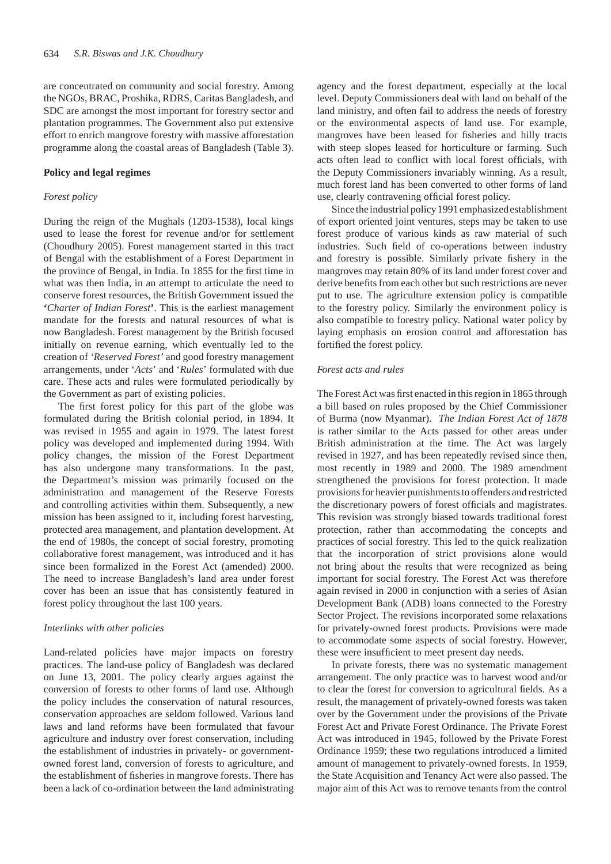are concentrated on community and social forestry. Among the NGOs, BRAC, Proshika, RDRS, Caritas Bangladesh, and SDC are amongst the most important for forestry sector and plantation programmes. The Government also put extensive effort to enrich mangrove forestry with massive afforestation programme along the coastal areas of Bangladesh (Table 3).

# **Policy and legal regimes**

## *Forest policy*

During the reign of the Mughals (1203-1538), local kings used to lease the forest for revenue and/or for settlement (Choudhury 2005). Forest management started in this tract of Bengal with the establishment of a Forest Department in the province of Bengal, in India. In 1855 for the first time in what was then India, in an attempt to articulate the need to conserve forest resources, the British Government issued the **'***Charter of Indian Forest***'**. This is the earliest management mandate for the forests and natural resources of what is now Bangladesh. Forest management by the British focused initially on revenue earning, which eventually led to the creation of *'Reserved Forest'* and good forestry management arrangements, under '*Acts*' and '*Rules*' formulated with due care. These acts and rules were formulated periodically by the Government as part of existing policies.

The first forest policy for this part of the globe was formulated during the British colonial period, in 1894. It was revised in 1955 and again in 1979. The latest forest policy was developed and implemented during 1994. With policy changes, the mission of the Forest Department has also undergone many transformations. In the past, the Department's mission was primarily focused on the administration and management of the Reserve Forests and controlling activities within them. Subsequently, a new mission has been assigned to it, including forest harvesting, protected area management, and plantation development. At the end of 1980s, the concept of social forestry, promoting collaborative forest management, was introduced and it has since been formalized in the Forest Act (amended) 2000. The need to increase Bangladesh's land area under forest cover has been an issue that has consistently featured in forest policy throughout the last 100 years.

#### *Interlinks with other policies*

Land-related policies have major impacts on forestry practices. The land-use policy of Bangladesh was declared on June 13, 2001. The policy clearly argues against the conversion of forests to other forms of land use. Although the policy includes the conservation of natural resources, conservation approaches are seldom followed. Various land laws and land reforms have been formulated that favour agriculture and industry over forest conservation, including the establishment of industries in privately- or governmentowned forest land, conversion of forests to agriculture, and the establishment of fisheries in mangrove forests. There has been a lack of co-ordination between the land administrating

agency and the forest department, especially at the local level. Deputy Commissioners deal with land on behalf of the land ministry, and often fail to address the needs of forestry or the environmental aspects of land use. For example, mangroves have been leased for fisheries and hilly tracts with steep slopes leased for horticulture or farming. Such acts often lead to conflict with local forest officials, with the Deputy Commissioners invariably winning. As a result, much forest land has been converted to other forms of land use, clearly contravening official forest policy.

Since the industrial policy 1991 emphasized establishment of export oriented joint ventures, steps may be taken to use forest produce of various kinds as raw material of such industries. Such field of co-operations between industry and forestry is possible. Similarly private fishery in the mangroves may retain 80% of its land under forest cover and derive benefits from each other but such restrictions are never put to use. The agriculture extension policy is compatible to the forestry policy. Similarly the environment policy is also compatible to forestry policy. National water policy by laying emphasis on erosion control and afforestation has fortified the forest policy.

## *Forest acts and rules*

The Forest Act was first enacted in this region in 1865 through a bill based on rules proposed by the Chief Commissioner of Burma (now Myanmar). *The Indian Forest Act of 1878* is rather similar to the Acts passed for other areas under British administration at the time. The Act was largely revised in 1927, and has been repeatedly revised since then, most recently in 1989 and 2000. The 1989 amendment strengthened the provisions for forest protection. It made provisions for heavier punishments to offenders and restricted the discretionary powers of forest officials and magistrates. This revision was strongly biased towards traditional forest protection, rather than accommodating the concepts and practices of social forestry. This led to the quick realization that the incorporation of strict provisions alone would not bring about the results that were recognized as being important for social forestry. The Forest Act was therefore again revised in 2000 in conjunction with a series of Asian Development Bank (ADB) loans connected to the Forestry Sector Project. The revisions incorporated some relaxations for privately-owned forest products. Provisions were made to accommodate some aspects of social forestry. However, these were insufficient to meet present day needs.

In private forests, there was no systematic management arrangement. The only practice was to harvest wood and/or to clear the forest for conversion to agricultural fields. As a result, the management of privately-owned forests was taken over by the Government under the provisions of the Private Forest Act and Private Forest Ordinance. The Private Forest Act was introduced in 1945, followed by the Private Forest Ordinance 1959; these two regulations introduced a limited amount of management to privately-owned forests. In 1959, the State Acquisition and Tenancy Act were also passed. The major aim of this Act was to remove tenants from the control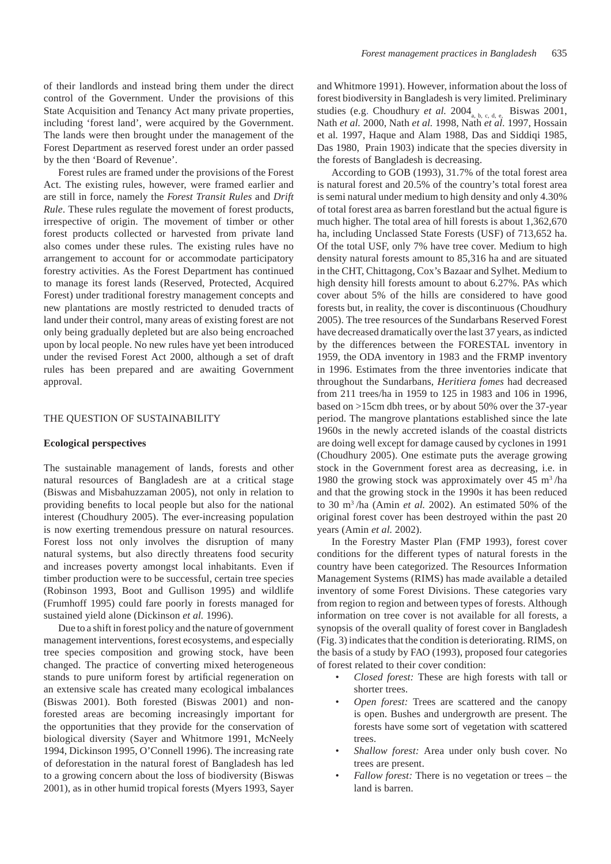of their landlords and instead bring them under the direct control of the Government. Under the provisions of this State Acquisition and Tenancy Act many private properties, including 'forest land', were acquired by the Government. The lands were then brought under the management of the Forest Department as reserved forest under an order passed by the then 'Board of Revenue'.

Forest rules are framed under the provisions of the Forest Act. The existing rules, however, were framed earlier and are still in force, namely the *Forest Transit Rules* and *Drift Rule*. These rules regulate the movement of forest products, irrespective of origin. The movement of timber or other forest products collected or harvested from private land also comes under these rules. The existing rules have no arrangement to account for or accommodate participatory forestry activities. As the Forest Department has continued to manage its forest lands (Reserved, Protected, Acquired Forest) under traditional forestry management concepts and new plantations are mostly restricted to denuded tracts of land under their control, many areas of existing forest are not only being gradually depleted but are also being encroached upon by local people. No new rules have yet been introduced under the revised Forest Act 2000, although a set of draft rules has been prepared and are awaiting Government approval.

## THE QUESTION OF SUSTAINABILITY

#### **Ecological perspectives**

The sustainable management of lands, forests and other natural resources of Bangladesh are at a critical stage (Biswas and Misbahuzzaman 2005), not only in relation to providing benefits to local people but also for the national interest (Choudhury 2005). The ever-increasing population is now exerting tremendous pressure on natural resources. Forest loss not only involves the disruption of many natural systems, but also directly threatens food security and increases poverty amongst local inhabitants. Even if timber production were to be successful, certain tree species (Robinson 1993, Boot and Gullison 1995) and wildlife (Frumhoff 1995) could fare poorly in forests managed for sustained yield alone (Dickinson *et al.* 1996).

Due to a shift in forest policy and the nature of government management interventions, forest ecosystems, and especially tree species composition and growing stock, have been changed. The practice of converting mixed heterogeneous stands to pure uniform forest by artificial regeneration on an extensive scale has created many ecological imbalances (Biswas 2001). Both forested (Biswas 2001) and nonforested areas are becoming increasingly important for the opportunities that they provide for the conservation of biological diversity (Sayer and Whitmore 1991, McNeely 1994, Dickinson 1995, O'Connell 1996). The increasing rate of deforestation in the natural forest of Bangladesh has led to a growing concern about the loss of biodiversity (Biswas 2001), as in other humid tropical forests (Myers 1993, Sayer

and Whitmore 1991). However, information about the loss of forest biodiversity in Bangladesh is very limited. Preliminary studies (e.g. Choudhury *et al.* 2004<sub>a, b, c, d, e, Biswas 2001,</sub> Nath *et al.* 2000, Nath *et al.* 1998, Nath *et al.* 1997, Hossain et al*.* 1997, Haque and Alam 1988, Das and Siddiqi 1985, Das 1980, Prain 1903) indicate that the species diversity in the forests of Bangladesh is decreasing.

According to GOB (1993), 31.7% of the total forest area is natural forest and 20.5% of the country's total forest area is semi natural under medium to high density and only 4.30% of total forest area as barren forestland but the actual figure is much higher. The total area of hill forests is about 1,362,670 ha, including Unclassed State Forests (USF) of 713,652 ha. Of the total USF, only 7% have tree cover. Medium to high density natural forests amount to 85,316 ha and are situated in the CHT, Chittagong, Cox's Bazaar and Sylhet. Medium to high density hill forests amount to about 6.27%. PAs which cover about 5% of the hills are considered to have good forests but, in reality, the cover is discontinuous (Choudhury 2005). The tree resources of the Sundarbans Reserved Forest have decreased dramatically over the last 37 years, as indicted by the differences between the FORESTAL inventory in 1959, the ODA inventory in 1983 and the FRMP inventory in 1996. Estimates from the three inventories indicate that throughout the Sundarbans, *Heritiera fomes* had decreased from 211 trees/ha in 1959 to 125 in 1983 and 106 in 1996, based on >15cm dbh trees, or by about 50% over the 37-year period. The mangrove plantations established since the late 1960s in the newly accreted islands of the coastal districts are doing well except for damage caused by cyclones in 1991 (Choudhury 2005). One estimate puts the average growing stock in the Government forest area as decreasing, i.e. in 1980 the growing stock was approximately over  $45 \text{ m}^3/\text{ha}$ and that the growing stock in the 1990s it has been reduced to 30 m3 /ha (Amin *et al.* 2002). An estimated 50% of the original forest cover has been destroyed within the past 20 years (Amin *et al.* 2002).

In the Forestry Master Plan (FMP 1993), forest cover conditions for the different types of natural forests in the country have been categorized. The Resources Information Management Systems (RIMS) has made available a detailed inventory of some Forest Divisions. These categories vary from region to region and between types of forests. Although information on tree cover is not available for all forests, a synopsis of the overall quality of forest cover in Bangladesh (Fig. 3) indicates that the condition is deteriorating. RIMS, on the basis of a study by FAO (1993), proposed four categories of forest related to their cover condition:

- *Closed forest:* These are high forests with tall or shorter trees.
- *Open forest:* Trees are scattered and the canopy is open. Bushes and undergrowth are present. The forests have some sort of vegetation with scattered trees.
- Shallow forest: Area under only bush cover. No trees are present.
- *Fallow forest:* There is no vegetation or trees the land is barren.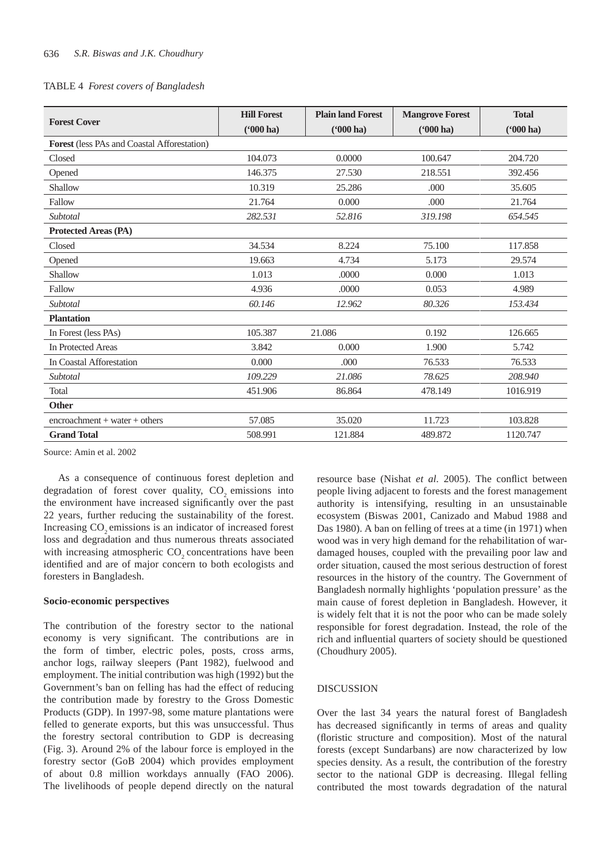TABLE 4 *Forest covers of Bangladesh* 

|                                                    | <b>Hill Forest</b> | <b>Plain land Forest</b> | <b>Mangrove Forest</b> | <b>Total</b> |  |
|----------------------------------------------------|--------------------|--------------------------|------------------------|--------------|--|
| <b>Forest Cover</b>                                | $(900)$ ha)        | $(900)$ ha)              | $(900)$ ha)            | $(900)$ ha)  |  |
| <b>Forest</b> (less PAs and Coastal Afforestation) |                    |                          |                        |              |  |
| Closed                                             | 104.073            | 0.0000                   | 100.647                | 204.720      |  |
| Opened                                             | 146.375            | 27.530                   | 218.551                | 392.456      |  |
| Shallow                                            | 10.319             | 25.286                   | .000                   | 35.605       |  |
| Fallow                                             | 21.764             | 0.000                    | .000                   | 21.764       |  |
| Subtotal                                           | 282.531            | 52.816                   | 319.198                | 654.545      |  |
| <b>Protected Areas (PA)</b>                        |                    |                          |                        |              |  |
| Closed                                             | 34.534             | 8.224                    | 75.100                 | 117.858      |  |
| Opened                                             | 19.663             | 4.734                    | 5.173                  | 29.574       |  |
| Shallow                                            | 1.013              | .0000                    | 0.000                  | 1.013        |  |
| Fallow                                             | 4.936              | .0000                    | 0.053                  | 4.989        |  |
| Subtotal                                           | 60.146             | 12.962                   | 80.326                 | 153.434      |  |
| <b>Plantation</b>                                  |                    |                          |                        |              |  |
| In Forest (less PAs)                               | 105.387            | 21.086                   | 0.192                  | 126.665      |  |
| <b>In Protected Areas</b>                          | 3.842              | 0.000                    | 1.900                  | 5.742        |  |
| In Coastal Afforestation                           | 0.000              | .000                     | 76.533                 | 76.533       |  |
| Subtotal                                           | 109.229            | 21.086                   | 78.625                 | 208,940      |  |
| Total                                              | 451.906            | 86.864                   | 478.149                | 1016.919     |  |
| <b>Other</b>                                       |                    |                          |                        |              |  |
| $encroadment + water + others$                     | 57.085             | 35.020                   | 11.723                 | 103.828      |  |
| <b>Grand Total</b>                                 | 508.991            | 121.884                  | 489.872                | 1120.747     |  |

Source: Amin et al. 2002

As a consequence of continuous forest depletion and degradation of forest cover quality,  $CO<sub>2</sub>$  emissions into the environment have increased significantly over the past 22 years, further reducing the sustainability of the forest. Increasing CO<sub>2</sub> emissions is an indicator of increased forest loss and degradation and thus numerous threats associated with increasing atmospheric  $CO<sub>2</sub>$  concentrations have been identified and are of major concern to both ecologists and foresters in Bangladesh.

#### **Socio-economic perspectives**

The contribution of the forestry sector to the national economy is very significant. The contributions are in the form of timber, electric poles, posts, cross arms, anchor logs, railway sleepers (Pant 1982), fuelwood and employment. The initial contribution was high (1992) but the Government's ban on felling has had the effect of reducing the contribution made by forestry to the Gross Domestic Products (GDP). In 1997-98, some mature plantations were felled to generate exports, but this was unsuccessful. Thus the forestry sectoral contribution to GDP is decreasing (Fig. 3). Around 2% of the labour force is employed in the forestry sector (GoB 2004) which provides employment of about 0.8 million workdays annually (FAO 2006). The livelihoods of people depend directly on the natural resource base (Nishat *et al.* 2005). The conflict between people living adjacent to forests and the forest management authority is intensifying, resulting in an unsustainable ecosystem (Biswas 2001, Canizado and Mabud 1988 and Das 1980). A ban on felling of trees at a time (in 1971) when wood was in very high demand for the rehabilitation of wardamaged houses, coupled with the prevailing poor law and order situation, caused the most serious destruction of forest resources in the history of the country. The Government of Bangladesh normally highlights 'population pressure' as the main cause of forest depletion in Bangladesh. However, it is widely felt that it is not the poor who can be made solely responsible for forest degradation. Instead, the role of the rich and influential quarters of society should be questioned (Choudhury 2005).

# DISCUSSION

Over the last 34 years the natural forest of Bangladesh has decreased significantly in terms of areas and quality (floristic structure and composition). Most of the natural forests (except Sundarbans) are now characterized by low species density. As a result, the contribution of the forestry sector to the national GDP is decreasing. Illegal felling contributed the most towards degradation of the natural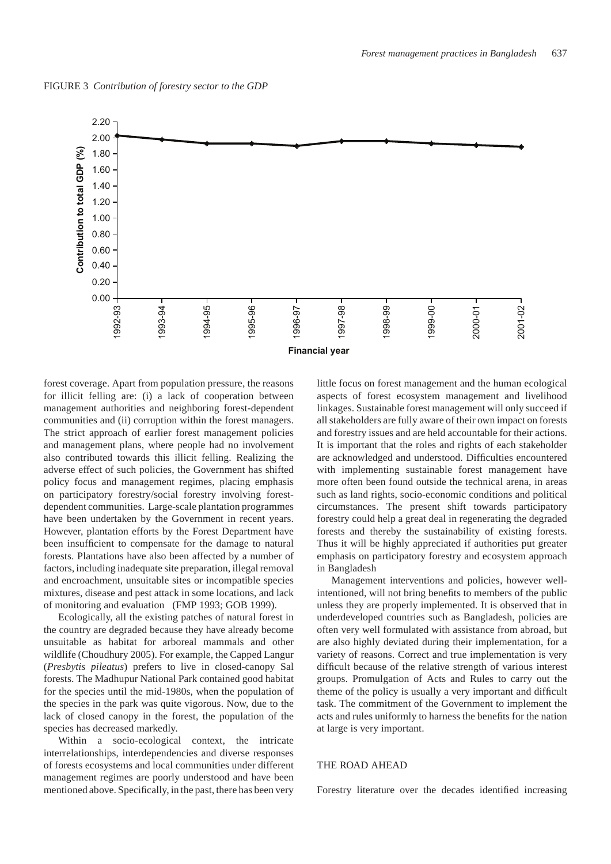



forest coverage. Apart from population pressure, the reasons for illicit felling are: (i) a lack of cooperation between management authorities and neighboring forest-dependent communities and (ii) corruption within the forest managers. The strict approach of earlier forest management policies and management plans, where people had no involvement also contributed towards this illicit felling. Realizing the adverse effect of such policies, the Government has shifted policy focus and management regimes, placing emphasis on participatory forestry/social forestry involving forestdependent communities. Large-scale plantation programmes have been undertaken by the Government in recent years. However, plantation efforts by the Forest Department have been insufficient to compensate for the damage to natural forests. Plantations have also been affected by a number of factors, including inadequate site preparation, illegal removal and encroachment, unsuitable sites or incompatible species mixtures, disease and pest attack in some locations, and lack of monitoring and evaluation (FMP 1993; GOB 1999).

Ecologically, all the existing patches of natural forest in the country are degraded because they have already become unsuitable as habitat for arboreal mammals and other wildlife (Choudhury 2005). For example, the Capped Langur (*Presbytis pileatus*) prefers to live in closed-canopy Sal forests. The Madhupur National Park contained good habitat for the species until the mid-1980s, when the population of the species in the park was quite vigorous. Now, due to the lack of closed canopy in the forest, the population of the species has decreased markedly.

Within a socio-ecological context, the intricate interrelationships, interdependencies and diverse responses of forests ecosystems and local communities under different management regimes are poorly understood and have been mentioned above. Specifically, in the past, there has been very little focus on forest management and the human ecological aspects of forest ecosystem management and livelihood linkages. Sustainable forest management will only succeed if all stakeholders are fully aware of their own impact on forests and forestry issues and are held accountable for their actions. It is important that the roles and rights of each stakeholder are acknowledged and understood. Difficulties encountered with implementing sustainable forest management have more often been found outside the technical arena, in areas such as land rights, socio-economic conditions and political circumstances. The present shift towards participatory forestry could help a great deal in regenerating the degraded forests and thereby the sustainability of existing forests. Thus it will be highly appreciated if authorities put greater emphasis on participatory forestry and ecosystem approach in Bangladesh

Management interventions and policies, however wellintentioned, will not bring benefits to members of the public unless they are properly implemented. It is observed that in underdeveloped countries such as Bangladesh, policies are often very well formulated with assistance from abroad, but are also highly deviated during their implementation, for a variety of reasons. Correct and true implementation is very difficult because of the relative strength of various interest groups. Promulgation of Acts and Rules to carry out the theme of the policy is usually a very important and difficult task. The commitment of the Government to implement the acts and rules uniformly to harness the benefits for the nation at large is very important.

#### THE ROAD AHEAD

Forestry literature over the decades identified increasing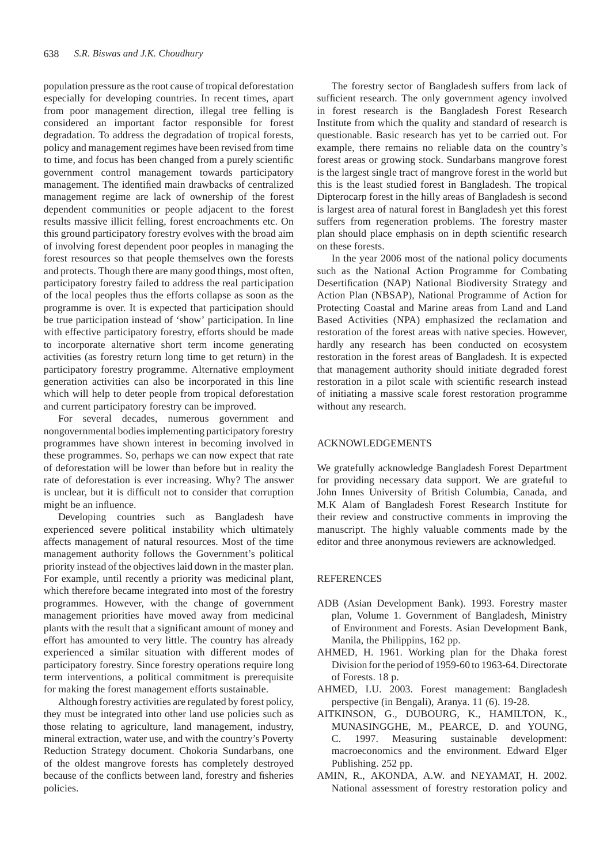population pressure as the root cause of tropical deforestation especially for developing countries. In recent times, apart from poor management direction, illegal tree felling is considered an important factor responsible for forest degradation. To address the degradation of tropical forests, policy and management regimes have been revised from time to time, and focus has been changed from a purely scientific government control management towards participatory management. The identified main drawbacks of centralized management regime are lack of ownership of the forest dependent communities or people adjacent to the forest results massive illicit felling, forest encroachments etc. On this ground participatory forestry evolves with the broad aim of involving forest dependent poor peoples in managing the forest resources so that people themselves own the forests and protects. Though there are many good things, most often, participatory forestry failed to address the real participation of the local peoples thus the efforts collapse as soon as the programme is over. It is expected that participation should be true participation instead of 'show' participation. In line with effective participatory forestry, efforts should be made to incorporate alternative short term income generating activities (as forestry return long time to get return) in the participatory forestry programme. Alternative employment generation activities can also be incorporated in this line which will help to deter people from tropical deforestation and current participatory forestry can be improved.

For several decades, numerous government and nongovernmental bodies implementing participatory forestry programmes have shown interest in becoming involved in these programmes. So, perhaps we can now expect that rate of deforestation will be lower than before but in reality the rate of deforestation is ever increasing. Why? The answer is unclear, but it is difficult not to consider that corruption might be an influence.

Developing countries such as Bangladesh have experienced severe political instability which ultimately affects management of natural resources. Most of the time management authority follows the Government's political priority instead of the objectives laid down in the master plan. For example, until recently a priority was medicinal plant, which therefore became integrated into most of the forestry programmes. However, with the change of government management priorities have moved away from medicinal plants with the result that a significant amount of money and effort has amounted to very little. The country has already experienced a similar situation with different modes of participatory forestry. Since forestry operations require long term interventions, a political commitment is prerequisite for making the forest management efforts sustainable.

Although forestry activities are regulated by forest policy, they must be integrated into other land use policies such as those relating to agriculture, land management, industry, mineral extraction, water use, and with the country's Poverty Reduction Strategy document. Chokoria Sundarbans, one of the oldest mangrove forests has completely destroyed because of the conflicts between land, forestry and fisheries policies.

The forestry sector of Bangladesh suffers from lack of sufficient research. The only government agency involved in forest research is the Bangladesh Forest Research Institute from which the quality and standard of research is questionable. Basic research has yet to be carried out. For example, there remains no reliable data on the country's forest areas or growing stock. Sundarbans mangrove forest is the largest single tract of mangrove forest in the world but this is the least studied forest in Bangladesh. The tropical Dipterocarp forest in the hilly areas of Bangladesh is second is largest area of natural forest in Bangladesh yet this forest suffers from regeneration problems. The forestry master plan should place emphasis on in depth scientific research on these forests.

In the year 2006 most of the national policy documents such as the National Action Programme for Combating Desertification (NAP) National Biodiversity Strategy and Action Plan (NBSAP), National Programme of Action for Protecting Coastal and Marine areas from Land and Land Based Activities (NPA) emphasized the reclamation and restoration of the forest areas with native species. However, hardly any research has been conducted on ecosystem restoration in the forest areas of Bangladesh. It is expected that management authority should initiate degraded forest restoration in a pilot scale with scientific research instead of initiating a massive scale forest restoration programme without any research.

# ACKNOWLEDGEMENTS

We gratefully acknowledge Bangladesh Forest Department for providing necessary data support. We are grateful to John Innes University of British Columbia, Canada, and M.K Alam of Bangladesh Forest Research Institute for their review and constructive comments in improving the manuscript. The highly valuable comments made by the editor and three anonymous reviewers are acknowledged.

# **REFERENCES**

- ADB (Asian Development Bank). 1993. Forestry master plan, Volume 1. Government of Bangladesh, Ministry of Environment and Forests. Asian Development Bank, Manila, the Philippins, 162 pp.
- AHMED, H. 1961. Working plan for the Dhaka forest Division for the period of 1959-60 to 1963-64. Directorate of Forests. 18 p.
- AHMED, I.U. 2003. Forest management: Bangladesh perspective (in Bengali), Aranya. 11 (6). 19-28.
- AITKINSON, G., DUBOURG, K., HAMILTON, K., MUNASINGGHE, M., PEARCE, D. and YOUNG, C. 1997. Measuring sustainable development: macroeconomics and the environment. Edward Elger Publishing. 252 pp.
- AMIN, R., AKONDA, A.W. and NEYAMAT, H. 2002. National assessment of forestry restoration policy and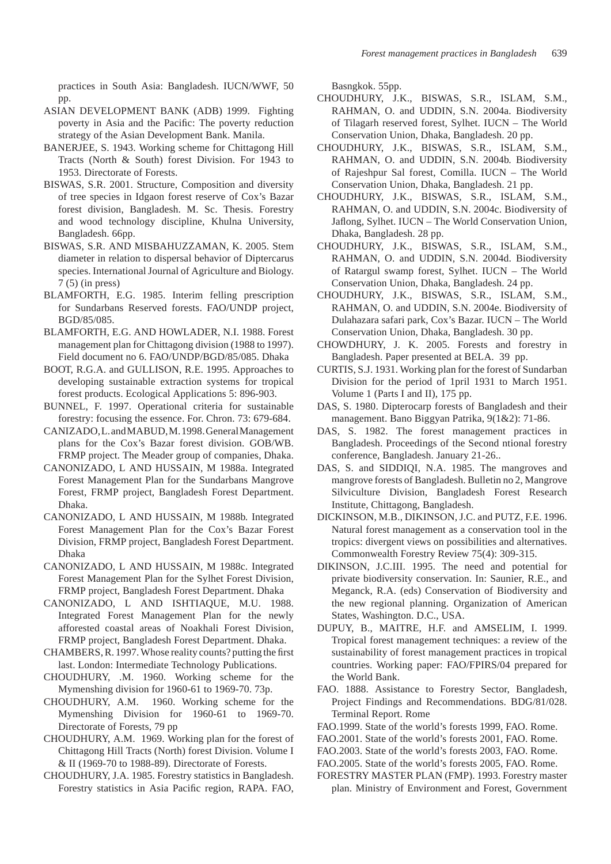practices in South Asia: Bangladesh. IUCN/WWF, 50 pp.

- ASIAN DEVELOPMENT BANK (ADB) 1999. Fighting poverty in Asia and the Pacific: The poverty reduction strategy of the Asian Development Bank. Manila.
- BANERJEE, S. 1943. Working scheme for Chittagong Hill Tracts (North & South) forest Division. For 1943 to 1953. Directorate of Forests.
- BISWAS, S.R. 2001. Structure, Composition and diversity of tree species in Idgaon forest reserve of Cox's Bazar forest division, Bangladesh. M. Sc. Thesis. Forestry and wood technology discipline, Khulna University, Bangladesh. 66pp.
- BISWAS, S.R. AND MISBAHUZZAMAN, K. 2005. Stem diameter in relation to dispersal behavior of Diptercarus species. International Journal of Agriculture and Biology. 7 (5) (in press)
- BLAMFORTH, E.G. 1985. Interim felling prescription for Sundarbans Reserved forests. FAO/UNDP project, BGD/85/085.
- BLAMFORTH, E.G. AND HOWLADER, N.I. 1988. Forest management plan for Chittagong division (1988 to 1997). Field document no 6. FAO/UNDP/BGD/85/085. Dhaka
- BOOT, R.G.A. and GULLISON, R.E. 1995. Approaches to developing sustainable extraction systems for tropical forest products. Ecological Applications 5: 896-903.
- BUNNEL, F. 1997. Operational criteria for sustainable forestry: focusing the essence. For. Chron. 73: 679-684.
- CANIZADO, L. and MABUD, M. 1998. General Management plans for the Cox's Bazar forest division. GOB/WB. FRMP project. The Meader group of companies, Dhaka.
- CANONIZADO, L AND HUSSAIN, M 1988a. Integrated Forest Management Plan for the Sundarbans Mangrove Forest, FRMP project, Bangladesh Forest Department. Dhaka.
- CANONIZADO, L AND HUSSAIN, M 1988b. Integrated Forest Management Plan for the Cox's Bazar Forest Division, FRMP project, Bangladesh Forest Department. Dhaka
- CANONIZADO, L AND HUSSAIN, M 1988c. Integrated Forest Management Plan for the Sylhet Forest Division, FRMP project, Bangladesh Forest Department. Dhaka
- CANONIZADO, L AND ISHTIAQUE, M.U. 1988. Integrated Forest Management Plan for the newly afforested coastal areas of Noakhali Forest Division, FRMP project, Bangladesh Forest Department. Dhaka.
- CHAMBERS, R. 1997. Whose reality counts? putting the first last. London: Intermediate Technology Publications.
- CHOUDHURY, .M. 1960. Working scheme for the Mymenshing division for 1960-61 to 1969-70. 73p.
- CHOUDHURY, A.M. 1960. Working scheme for the Mymenshing Division for 1960-61 to 1969-70. Directorate of Forests, 79 pp
- CHOUDHURY, A.M. 1969. Working plan for the forest of Chittagong Hill Tracts (North) forest Division. Volume I & II (1969-70 to 1988-89). Directorate of Forests.
- CHOUDHURY, J.A. 1985. Forestry statistics in Bangladesh. Forestry statistics in Asia Pacific region, RAPA. FAO,

Basngkok. 55pp.

- CHOUDHURY, J.K., BISWAS, S.R., ISLAM, S.M., RAHMAN, O. and UDDIN, S.N. 2004a. Biodiversity of Tilagarh reserved forest, Sylhet. IUCN – The World Conservation Union, Dhaka, Bangladesh. 20 pp.
- CHOUDHURY, J.K., BISWAS, S.R., ISLAM, S.M., RAHMAN, O. and UDDIN, S.N. 2004b. Biodiversity of Rajeshpur Sal forest, Comilla. IUCN – The World Conservation Union, Dhaka, Bangladesh. 21 pp.
- CHOUDHURY, J.K., BISWAS, S.R., ISLAM, S.M., RAHMAN, O. and UDDIN, S.N. 2004c. Biodiversity of Jaflong, Sylhet. IUCN – The World Conservation Union, Dhaka, Bangladesh. 28 pp.
- CHOUDHURY, J.K., BISWAS, S.R., ISLAM, S.M., RAHMAN, O. and UDDIN, S.N. 2004d. Biodiversity of Ratargul swamp forest, Sylhet. IUCN – The World Conservation Union, Dhaka, Bangladesh. 24 pp.
- CHOUDHURY, J.K., BISWAS, S.R., ISLAM, S.M., RAHMAN, O. and UDDIN, S.N. 2004e. Biodiversity of Dulahazara safari park, Cox's Bazar. IUCN – The World Conservation Union, Dhaka, Bangladesh. 30 pp.
- CHOWDHURY, J. K. 2005. Forests and forestry in Bangladesh. Paper presented at BELA. 39 pp.
- CURTIS, S.J. 1931. Working plan for the forest of Sundarban Division for the period of 1pril 1931 to March 1951. Volume 1 (Parts I and II), 175 pp.
- DAS, S. 1980. Dipterocarp forests of Bangladesh and their management. Bano Biggyan Patrika, 9(1&2): 71-86.
- DAS, S. 1982. The forest management practices in Bangladesh. Proceedings of the Second ntional forestry conference, Bangladesh. January 21-26..
- DAS, S. and SIDDIQI, N.A. 1985. The mangroves and mangrove forests of Bangladesh. Bulletin no 2, Mangrove Silviculture Division, Bangladesh Forest Research Institute, Chittagong, Bangladesh.
- DICKINSON, M.B., DIKINSON, J.C. and PUTZ, F.E. 1996. Natural forest management as a conservation tool in the tropics: divergent views on possibilities and alternatives. Commonwealth Forestry Review 75(4): 309-315.
- DIKINSON, J.C.III. 1995. The need and potential for private biodiversity conservation. In: Saunier, R.E., and Meganck, R.A. (eds) Conservation of Biodiversity and the new regional planning. Organization of American States, Washington. D.C., USA.
- DUPUY, B., MAITRE, H.F. and AMSELIM, I. 1999. Tropical forest management techniques: a review of the sustainability of forest management practices in tropical countries. Working paper: FAO/FPIRS/04 prepared for the World Bank.
- FAO. 1888. Assistance to Forestry Sector, Bangladesh, Project Findings and Recommendations. BDG/81/028. Terminal Report. Rome
- FAO.1999. State of the world's forests 1999, FAO. Rome.
- FAO.2001. State of the world's forests 2001, FAO. Rome.
- FAO.2003. State of the world's forests 2003, FAO. Rome.

FAO.2005. State of the world's forests 2005, FAO. Rome.

FORESTRY MASTER PLAN (FMP). 1993. Forestry master plan. Ministry of Environment and Forest, Government